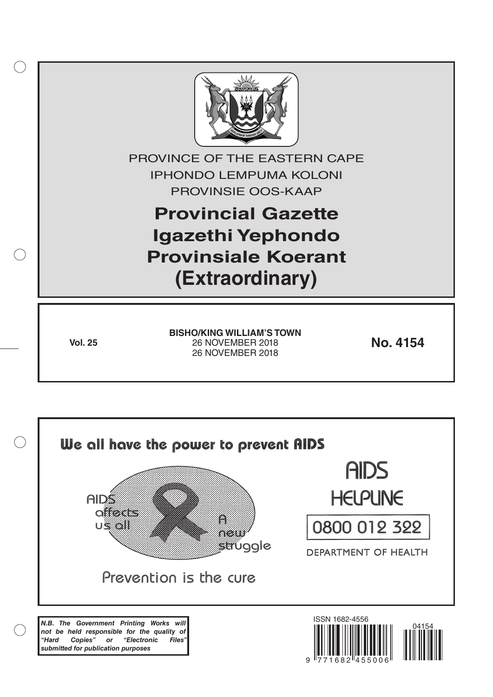

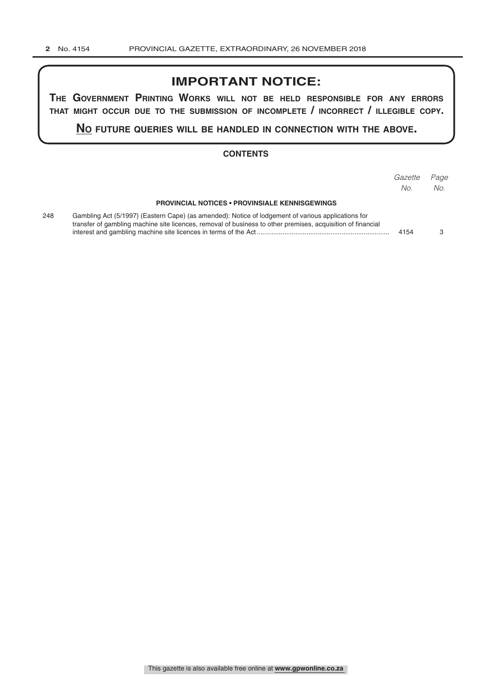# **IMPORTANT NOTICE:**

**The GovernmenT PrinTinG Works Will noT be held resPonsible for any errors ThaT miGhT occur due To The submission of incomPleTe / incorrecT / illeGible coPy.**

**no fuTure queries Will be handled in connecTion WiTh The above.**

# **CONTENTS**

|     |                                                                                                                                                                                                                   | Gazette<br>No. | Page<br>No. |
|-----|-------------------------------------------------------------------------------------------------------------------------------------------------------------------------------------------------------------------|----------------|-------------|
|     | <b>PROVINCIAL NOTICES • PROVINSIALE KENNISGEWINGS</b>                                                                                                                                                             |                |             |
| 248 | Gambling Act (5/1997) (Eastern Cape) (as amended): Notice of lodgement of various applications for<br>transfer of gambling machine site licences, removal of business to other premises, acquisition of financial | 4154           |             |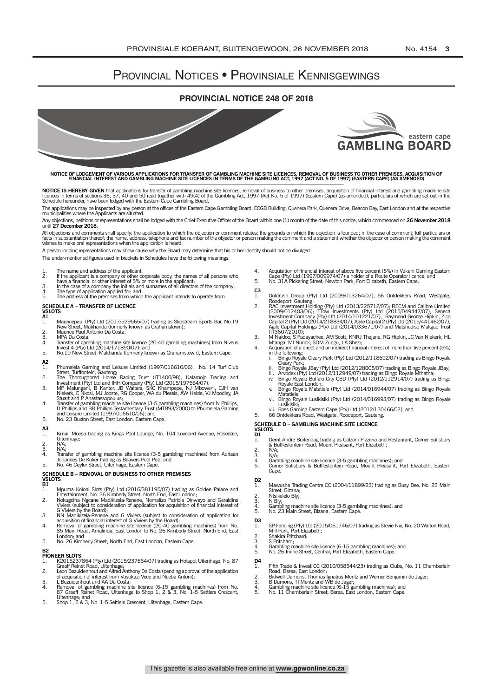# Provincial Notices • Provinsiale Kennisgewings

## **PROVINCIAL NOTICE 248 OF 2018**



NOTICE OF LODGEMENT OF VARIOUS APPLICATIONS FOR TRANSFER OF GAMBLING MACHINE SITE LICENCES, REMOVAL OF BUSINESS TO OTHER PREMISES, ACQUISITION OF<br>FINANCIAL INTEREST AND GAMBLING MACHINE SITE LICENCES IN TERMS OF THE GAMBLI

**NOTICE IS HEREBY GIVEN** that applications for transfer of gambling machine site licences, removal of business to other premises, acquisition of financial interest and gambling machine site<br>licences in terms of sections 36 Schedule hereunder, have been lodged with the Eastern Cape Gambling Board.

The applications may be inspected by any person at the offices of the Eastem Cape Gambling Board, ECGB Building, Quenera Park, Quenera Drive, Beacon Bay, East London and at the respective<br>municipalities where the Applicant

Any objections, petitions or representations shall be lodged with the Chief Executive Officer of the Board within one (1) month of the date of this notice, which commenced on **26 November 2018**<br>until **27 December 2018**.

All objections and comments shall specify: the application to which the objection or comment relates; the grounds on which the objection is founded; in the case of comment; full particulars or<br>facts in substantiation there

A person lodging representations may show cause why the Board may determine that his or her identity should not be divulged.

The under-mentioned figures used in brackets in Schedules have the following meanings:

- 
- 1. The name and address of the applicant; 2. If the applicant is a company or other corporate body, the names of all persons who have a financial or other interest of 5% or more in the applicant;
- 3. In the case of a company the initials and surnames of all directors of the company;<br>4. The type of application applied for; and<br>5. The address of the premises from which the applicant intends to operate
- 
- 

### **SCHEDULE A – TRANSFER OF LICENCE**

## **VSLOTS**

- **A1** 1. Mauricepaul (Pty) Ltd (2017/529565/07) trading as Slipstream Sports Bar, No.19 New Street, Makhanda (formerly known as Grahamstown); 2. Maurice Paul Antonio Da Costa;
- 
- 3. MPA Da Costa;<br>4. Transfer of gam
- 4. Transfer of gambling machine site licence (20-40 gambling machines) from Niveus<br>Invest 4 (Pty) Ltd (2014/171890/07): and<br>5. No.19 New Street, Makhanda (formerly known as Grahamstown), Eastern Cape.
- 
- 
- **A2**
- 
- 1. Phumelela Gaming and Leisure Limited (1997/016610/06), No. 14 Turf Club<br>Street, Turfontein, Gauteng;<br>2. The Thoroughbred Horse Racing Trust (IT1400/98), Kalamojo Trading and<br>Investment (Pty) Ltd and IHH Company (Pty) Lt
- Stuart and P Anastassopoulus;<br>4. Transfer of gambling machine site licence (3-5 gambling machines) from N Phillips,<br>5. D Phillips and BR Phillips Testamentary Trust (MT893/2000) to Phumelela Gaming<br>6. and Leisure Limited (
- 5. No. 23 Buxton Street, East London, Eastern Cape.

- **A3** Ismail Moosa trading as Kings Pool Lounge, No. 104 Lovebird Avenue, Rosedale, Uitenhage; 2. N/A;
- 
- 3. N/A; 4. Transfer of gambling machine site licence (3-5 gambling machines) from Adriaan<br>Johannes De Koker trading as Beavers Pool Pub; and<br>5. No. 46 Cuyler Street, Uitenhage, Eastern Cape.

### **SCHEDULE B – REMOVAL OF BUSINESS TO OTHER PREMISES**

## **VSLOTS**

- **B1** 1. Mpuma Koloni Slots (Pty) Ltd (2016/381195/07) trading as Golden Palace and<br>Entertainment, No. 26 Kimberly Street, North End, East London;<br>2. Nokugcina Ngcane Madikizela-Renene, Normalizo Patricia Dinwayo and Geraldine<br>V
- 
- G Viviers by the Board);<br>3. NN Madikizela-Renene and G Viviers (subject to consideration of application for<br>acquisition of financial interest of G Viviers by the Board);<br>4. Removal of gambling machine site licence (20-40 g
- 
- London; and 5. No. 26 Kimberly Street, North End, East London, Eastern Cape.

### **B**2 **PIONEER SLOTS**

- 1. K2015237864 (Pty) Ltd (2015/237864/07) trading as Hotspot Uitenhage, No. 87<br>Graaff Reinet Road, Uitenhage;<br>2. Leon Bezuidenhout and Alfred Anthony Da Costa (pending approval of the application<br>of acquisition of interest
- 
- 3. L Bezuidenhout and AA Da Costa; 4. Removal of gambling machine site licence (6-15 gambling machines) from No. 87 Graaff Reinet Road, Uitenhage to Shop 1, 2 & 3, No. 1-5 Settlers Crescent,
- Uitenhage; and 5. Shop 1, 2 & 3, No. 1-5 Settlers Crescent, Uitenhage, Eastern Cape.
- 4. Acquisition of financial interest of above five percent (5%) in Vukani Gaming Eastern<br>- Cape (Pty) Ltd (1997/009974/07) a holder of a Route Operator licence; and<br>5. No. 31A Pickering Street, Newton Park, Port Eliz
	-
- **C3** 1. Goldrush Group (Pty) Ltd (2009/013264/07), 66 Ontdekkers Road, Westgate,
- Roodeport, Gauteng;<br>2. RAC Investment Holding (Pty) Ltd (2013/225712/07); RECM and Calibre Limited<br>2009/012403/06); TTow Investments (Pty) Ltd (2015/049447/07), Seneca<br>Investment Company (Pty) Ltd (2014/101221/07), Raymond Agile Capital Holdings (Pty) Ltd (2014/033671/07) and Matshediso Makgao Trust (IT3607/2010);
- 
- 3. M Naidoo, S Padayachee, AM Scott, KNRJ Thejane, RG Hipkin, JC Van Niekerk, HL<br>Mtanga, MI Nurick, SDM Zungu, LA Shezi;<br>4. Acquisition of a direct and an indirect financial interest of more than five percent (5%)<br>in the f
	- Cleary Park;
	- ii. Bingo Royale JBay (Pty) Ltd (2012/128005/07) trading as Bingo Royale JBay;<br>iii. Arvodex (Pty) Ltd (2012/112949/07) trading as Bingo Royale Mthatha;<br>iv. Bingo Royale Buffalo City CBD (Pty) Ltd (2012/112914/07) t
	- Royale East London; v. Bingo Royale Matatiele (Pty) Ltd (2014/016944/07) trading as Bingo Royale Matatiele;
	- vi. Bingo Royale Lusikisiki (Pty) Ltd (2014/016993/07) trading as Bingo Royale Lusikisiki;
	- vii. Boss Gaming Eastern Cape (Pty) Ltd (2012/120466/07); and
- 5. 66 Ontdekkers Road, Westgate, Roodeport, Gauteng.

### **SCHEDULE D – GAMBLING MACHINE SITE LICENCE**

- **VSLOTS D1**
- 1. Gerrit Andre Buitendag trading as Calzoni Pizzeria and Restaurant, Corner Sulisbury & Bufflesfontein Road, Mount Pleasant, Port Elizabeth; 2. N/A;
- 
- 3. N/A;<br>4. Gam<br>5. Corr
- 4. Gambling machine site licence (3-5 gambling machines); and 5. Corner Sulisbury & Bufflesfontein Road, Mount Pleasant, Port Elizabeth, Eastern Cape
- **D2**
- 1. Mawushe Trading Centre CC (2004/11899/23) trading as Busy Bee, No. 23 Main Street, Bizana;
- 2. Ntsikelelo Bly<br>3. N Blv:
- 3. N Bly;<br>4. Gambling machine site licence (3-5 gambling machines); and<br>5. No. 23 Main Street, Bizana, Eastern Cape.
- 

**D3** 1. SP Fencing (Pty) Ltd (2015/061746/07) trading as Stevie Nix, No. 20 Walton Road, Mill Park, Port Elizabeth; 2. Shakira Pritchard; 3. S Pritchard;

- 
- 
- 4. Gambling machine site licence (6-15 gambling machines); and 5. No. 26 Irvine Street, Central, Port Elizabeth, Eastern Cape.
- **D4**
	- Fifth Trade & Invest CC (2010/058544/23) trading as Clubs, No. 11 Chamberlain
- Road, Berea, East London;<br>2. Bidwell Damons, Thomas Ignatius Mentz and Werner Benjamin de Jager;<br>3. B Damons, TI Mentz and WB de Jager;<br>4. Gambling machine site licence (6-15 gambling machines); and<br>5. No. 11 Chamberlain S
- 
- 
- This gazette is also available free online at www.gpwonline.co.za

3. BC Maqina; 1980, 1980, 1980, 1980, 1980, 1980, 1980, 1980, 1980, 1980, 1980, 1980, 1980, 1980, 1980, 1980, 1980, 1980, 1980, 1980, 1980, 1980, 1980, 1980, 1980, 1980, 1980, 1980, 1980, 1980, 1980, 1980, 1980, 1980, 1980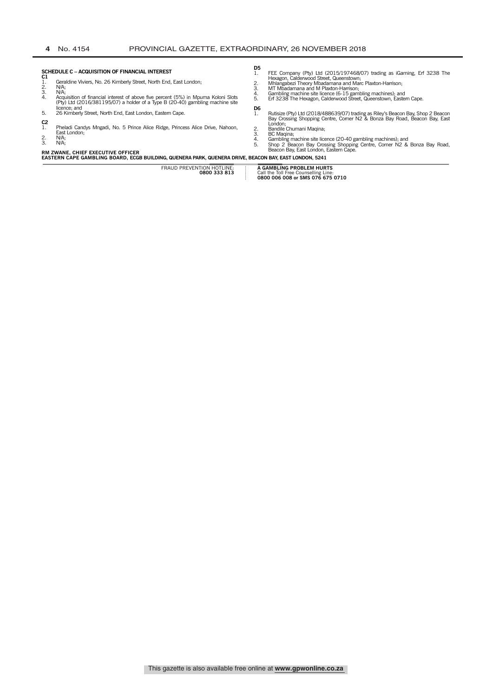# **SCHEDULE C – ACQUISITION OF FINANCIAL INTEREST C1**

- 1. Geraldine Viviers, No. 26 Kimberly Street, North End, East London; 2. N/A;
- 
- 3. N/A; 4. Acquisition of financial interest of above five percent (5%) in Mpuma Koloni Slots (Pty) Ltd (2016/381195/07) a holder of a Type B (20-40) gambling machine site
- licence; and 5. 26 Kimberly Street, North End, East London, Eastern Cape.
- 
- **C2** 1. Pheladi Candys Mngadi, No. 5 Prince Alice Ridge, Princess Alice Drive, Nahoon, East London; 2. N/A;
- 2. N/A;<br>3. N/A;
- 
- 
- **D5**
- -
- 1. FEE Company (Pty) Ltd (2015/197468/07) trading as iGaming, Erf 3238 The<br>Hexagon, Calderwood Street, Queenstown;<br>2. Mhlangabezi Theory Mbadamana and Marc Plaxton-Harrison;<br>3. MT Mbadamana and M Plaxton-Harrison;<br>4. Gambl
- **D6**
	- 1. Rutisize (Pty) Ltd (2018/488639/07) trading as Riley's Beacon Bay, Shop 2 Beacon Bay Crossing Shopping Centre, Corner N2 & Bonza Bay Road, Beacon Bay, East London; 2. Bandile Chumani Maqina; 3. BC Maqina; 4. Gambling machine site licence (20-40 gambling machines); and 5. Shop 2 Beacon Bay Crossing Shopping Centre, Corner N2 & Bonza Bay Road,
	-
	-
	-

RM ZWANE, CHIEF EXECUTIVE OFFICER<br>EASTERN CAPE GAMBLING BOARD, ECGB BUILDING, QUENERA PARK, QUENERA DRIVE, BEACON BAY, EAST LONDON, 5241<br>EASTERN CAPE GAMBLING BOARD, ECGB BUILDING, QUENERA PARK, QUENERA DRIVE, BEACON BAY,

FRAUD PREVENTION HOTLINE: **0800 333 813**

**A GAMBLING PROBLEM HURTS** Call the Toll Free Counselling Line: **0800 006 008 or SMS 076 675 0710**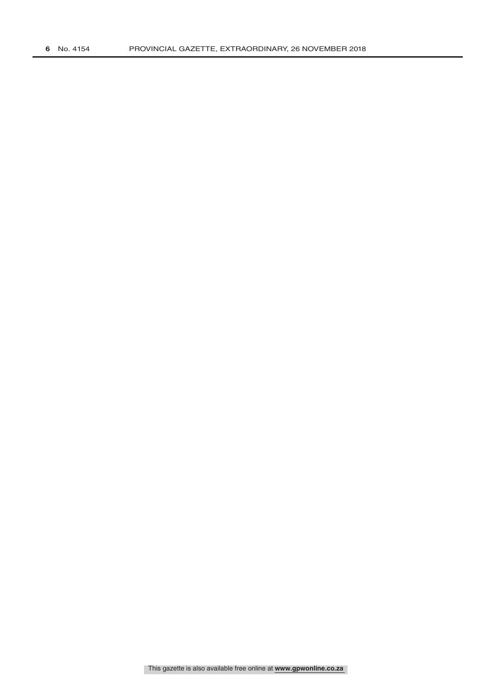This gazette is also available free online at **www.gpwonline.co.za**